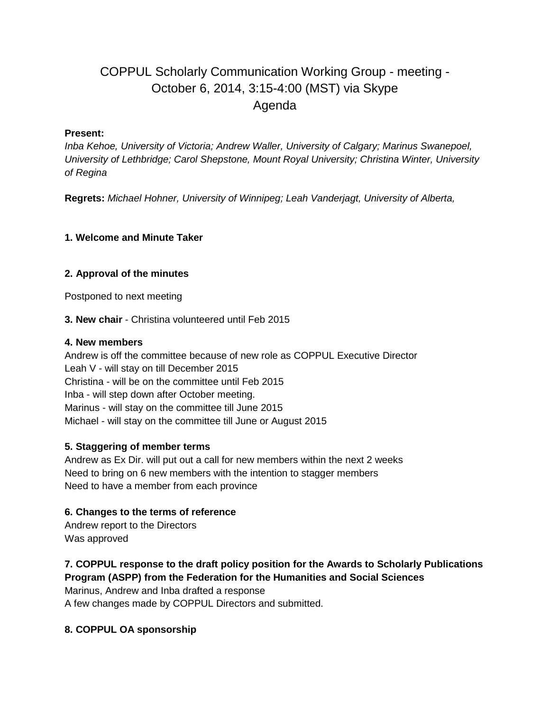# COPPUL Scholarly Communication Working Group - meeting - October 6, 2014, 3:15-4:00 (MST) via Skype Agenda

#### **Present:**

*Inba Kehoe, University of Victoria; Andrew Waller, University of Calgary; Marinus Swanepoel, University of Lethbridge; Carol Shepstone, Mount Royal University; Christina Winter, University of Regina*

**Regrets:** *Michael Hohner, University of Winnipeg; Leah Vanderjagt, University of Alberta,* 

## **1. Welcome and Minute Taker**

## **2. Approval of the minutes**

Postponed to next meeting

**3. New chair** - Christina volunteered until Feb 2015

#### **4. New members**

Andrew is off the committee because of new role as COPPUL Executive Director Leah V - will stay on till December 2015 Christina - will be on the committee until Feb 2015 Inba - will step down after October meeting. Marinus - will stay on the committee till June 2015 Michael - will stay on the committee till June or August 2015

#### **5. Staggering of member terms**

Andrew as Ex Dir. will put out a call for new members within the next 2 weeks Need to bring on 6 new members with the intention to stagger members Need to have a member from each province

#### **6. Changes to the terms of reference**

Andrew report to the Directors Was approved

# **7. COPPUL response to the draft policy position for the Awards to Scholarly Publications Program (ASPP) from the Federation for the Humanities and Social Sciences**

Marinus, Andrew and Inba drafted a response A few changes made by COPPUL Directors and submitted.

# **8. COPPUL OA sponsorship**